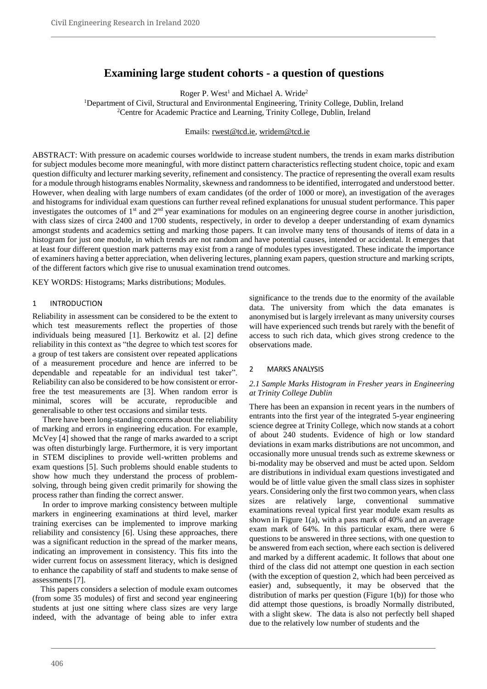# **Examining large student cohorts - a question of questions**

Roger P. West<sup>1</sup> and Michael A. Wride<sup>2</sup>

<sup>1</sup>Department of Civil, Structural and Environmental Engineering, Trinity College, Dublin, Ireland <sup>2</sup>Centre for Academic Practice and Learning, Trinity College, Dublin, Ireland

Emails: rwest@tcd.ie, wridem@tcd.ie

ABSTRACT: With pressure on academic courses worldwide to increase student numbers, the trends in exam marks distribution for subject modules become more meaningful, with more distinct pattern characteristics reflecting student choice, topic and exam question difficulty and lecturer marking severity, refinement and consistency. The practice of representing the overall exam results for a module through histograms enables Normality, skewness and randomness to be identified, interrogated and understood better. However, when dealing with large numbers of exam candidates (of the order of 1000 or more), an investigation of the averages and histograms for individual exam questions can further reveal refined explanations for unusual student performance. This paper investigates the outcomes of 1<sup>st</sup> and 2<sup>nd</sup> year examinations for modules on an engineering degree course in another jurisdiction, with class sizes of circa 2400 and 1700 students, respectively, in order to develop a deeper understanding of exam dynamics amongst students and academics setting and marking those papers. It can involve many tens of thousands of items of data in a histogram for just one module, in which trends are not random and have potential causes, intended or accidental. It emerges that at least four different question mark patterns may exist from a range of modules types investigated. These indicate the importance of examiners having a better appreciation, when delivering lectures, planning exam papers, question structure and marking scripts, of the different factors which give rise to unusual examination trend outcomes.

KEY WORDS: Histograms; Marks distributions; Modules.

#### 1 INTRODUCTION

Reliability in assessment can be considered to be the extent to which test measurements reflect the properties of those individuals being measured [1]. Berkowitz et al. [2] define reliability in this context as "the degree to which test scores for a group of test takers are consistent over repeated applications of a measurement procedure and hence are inferred to be dependable and repeatable for an individual test taker". Reliability can also be considered to be how consistent or errorfree the test measurements are [3]. When random error is minimal, scores will be accurate, reproducible and generalisable to other test occasions and similar tests.

 There have been long-standing concerns about the reliability of marking and errors in engineering education. For example, McVey [4] showed that the range of marks awarded to a script was often disturbingly large. Furthermore, it is very important in STEM disciplines to provide well-written problems and exam questions [5]. Such problems should enable students to show how much they understand the process of problemsolving, through being given credit primarily for showing the process rather than finding the correct answer.

 In order to improve marking consistency between multiple markers in engineering examinations at third level, marker training exercises can be implemented to improve marking reliability and consistency [6]. Using these approaches, there was a significant reduction in the spread of the marker means, indicating an improvement in consistency. This fits into the wider current focus on assessment literacy, which is designed to enhance the capability of staff and students to make sense of assessments [7].

 This papers considers a selection of module exam outcomes (from some 35 modules) of first and second year engineering students at just one sitting where class sizes are very large indeed, with the advantage of being able to infer extra significance to the trends due to the enormity of the available data. The university from which the data emanates is anonymised but is largely irrelevant as many university courses will have experienced such trends but rarely with the benefit of access to such rich data, which gives strong credence to the observations made.

#### 2 MARKS ANALYSIS

#### *2.1 Sample Marks Histogram in Fresher years in Engineering at Trinity College Dublin*

There has been an expansion in recent years in the numbers of entrants into the first year of the integrated 5-year engineering science degree at Trinity College, which now stands at a cohort of about 240 students. Evidence of high or low standard deviations in exam marks distributions are not uncommon, and occasionally more unusual trends such as extreme skewness or bi-modality may be observed and must be acted upon. Seldom are distributions in individual exam questions investigated and would be of little value given the small class sizes in sophister years. Considering only the first two common years, when class sizes are relatively large, conventional summative examinations reveal typical first year module exam results as shown in Figure 1(a), with a pass mark of 40% and an average exam mark of 64%. In this particular exam, there were 6 questions to be answered in three sections, with one question to be answered from each section, where each section is delivered and marked by a different academic. It follows that about one third of the class did not attempt one question in each section (with the exception of question 2, which had been perceived as easier) and, subsequently, it may be observed that the distribution of marks per question (Figure 1(b)) for those who did attempt those questions, is broadly Normally distributed, with a slight skew. The data is also not perfectly bell shaped due to the relatively low number of students and the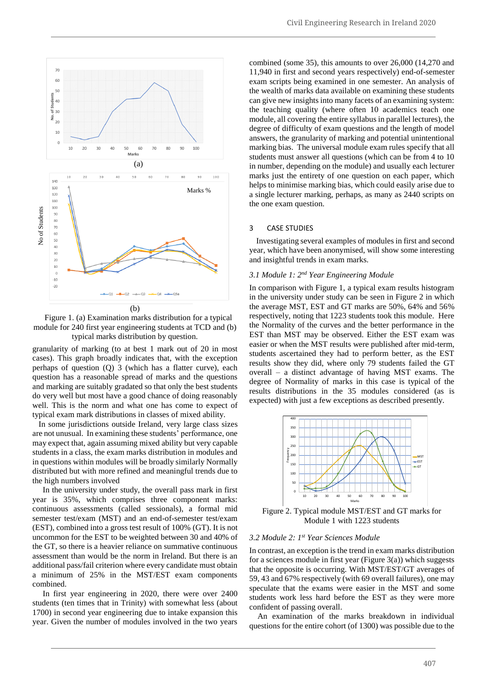

Figure 1. (a) Examination marks distribution for a typical module for 240 first year engineering students at TCD and (b) typical marks distribution by question.

granularity of marking (to at best 1 mark out of 20 in most cases). This graph broadly indicates that, with the exception perhaps of question (Q) 3 (which has a flatter curve), each question has a reasonable spread of marks and the questions and marking are suitably gradated so that only the best students do very well but most have a good chance of doing reasonably well. This is the norm and what one has come to expect of typical exam mark distributions in classes of mixed ability.

 In some jurisdictions outside Ireland, very large class sizes are not unusual. In examining these students' performance, one may expect that, again assuming mixed ability but very capable students in a class, the exam marks distribution in modules and in questions within modules will be broadly similarly Normally distributed but with more refined and meaningful trends due to the high numbers involved

 In the university under study, the overall pass mark in first year is 35%, which comprises three component marks: continuous assessments (called sessionals), a formal mid semester test/exam (MST) and an end-of-semester test/exam (EST), combined into a gross test result of 100% (GT). It is not uncommon for the EST to be weighted between 30 and 40% of the GT, so there is a heavier reliance on summative continuous assessment than would be the norm in Ireland. But there is an additional pass/fail criterion where every candidate must obtain a minimum of 25% in the MST/EST exam components combined.

 In first year engineering in 2020, there were over 2400 students (ten times that in Trinity) with somewhat less (about 1700) in second year engineering due to intake expansion this year. Given the number of modules involved in the two years combined (some 35), this amounts to over 26,000 (14,270 and 11,940 in first and second years respectively) end-of-semester exam scripts being examined in one semester. An analysis of the wealth of marks data available on examining these students can give new insights into many facets of an examining system: the teaching quality (where often 10 academics teach one module, all covering the entire syllabus in parallel lectures), the degree of difficulty of exam questions and the length of model answers, the granularity of marking and potential unintentional marking bias. The universal module exam rules specify that all students must answer all questions (which can be from 4 to 10 in number, depending on the module) and usually each lecturer marks just the entirety of one question on each paper, which helps to minimise marking bias, which could easily arise due to a single lecturer marking, perhaps, as many as 2440 scripts on the one exam question.

## 3 CASE STUDIES

Investigating several examples of modules in first and second year, which have been anonymised, will show some interesting and insightful trends in exam marks.

# *3.1 Module 1: 2nd Year Engineering Module*

In comparison with Figure 1, a typical exam results histogram in the university under study can be seen in Figure 2 in which the average MST, EST and GT marks are 50%, 64% and 56% respectively, noting that 1223 students took this module. Here the Normality of the curves and the better performance in the EST than MST may be observed. Either the EST exam was easier or when the MST results were published after mid-term, students ascertained they had to perform better, as the EST results show they did, where only 79 students failed the GT overall – a distinct advantage of having MST exams. The degree of Normality of marks in this case is typical of the results distributions in the 35 modules considered (as is expected) with just a few exceptions as described presently.



Figure 2. Typical module MST/EST and GT marks for Module 1 with 1223 students

#### *3.2 Module 2: 1st Year Sciences Module*

In contrast, an exception is the trend in exam marks distribution for a sciences module in first year (Figure  $3(a)$ ) which suggests that the opposite is occurring. With MST/EST/GT averages of 59, 43 and 67% respectively (with 69 overall failures), one may speculate that the exams were easier in the MST and some students work less hard before the EST as they were more confident of passing overall.

 An examination of the marks breakdown in individual questions for the entire cohort (of 1300) was possible due to the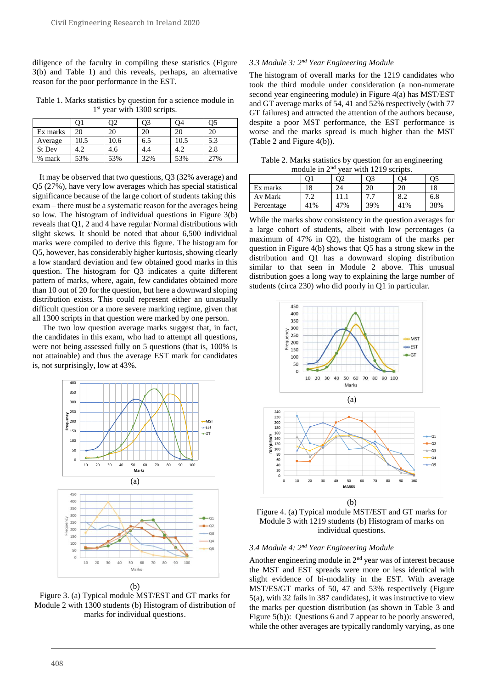diligence of the faculty in compiling these statistics (Figure 3(b) and Table 1) and this reveals, perhaps, an alternative reason for the poor performance in the EST.

Table 1. Marks statistics by question for a science module in 1<sup>st</sup> year with 1300 scripts.

|          |     |      | )3  | )4   | Эź  |
|----------|-----|------|-----|------|-----|
| Ex marks | 20  |      |     |      | 20  |
| Average  | 0.5 | 10.6 | 6.5 | 10.5 | 5.3 |
| St Dev   |     | 4.6  | 4.4 | 4.2  | 2.8 |
| % mark   | 53% | 53%  | 32% | 53%  | 7%  |

It may be observed that two questions, Q3 (32% average) and Q5 (27%), have very low averages which has special statistical significance because of the large cohort of students taking this exam – there must be a systematic reason for the averages being so low. The histogram of individual questions in Figure 3(b) reveals that Q1, 2 and 4 have regular Normal distributions with slight skews. It should be noted that about 6,500 individual marks were compiled to derive this figure. The histogram for Q5, however, has considerably higher kurtosis, showing clearly a low standard deviation and few obtained good marks in this question. The histogram for Q3 indicates a quite different pattern of marks, where, again, few candidates obtained more than 10 out of 20 for the question, but here a downward sloping distribution exists. This could represent either an unusually difficult question or a more severe marking regime, given that all 1300 scripts in that question were marked by one person.

 The two low question average marks suggest that, in fact, the candidates in this exam, who had to attempt all questions, were not being assessed fully on 5 questions (that is, 100% is not attainable) and thus the average EST mark for candidates is, not surprisingly, low at 43%.



Figure 3. (a) Typical module MST/EST and GT marks for Module 2 with 1300 students (b) Histogram of distribution of marks for individual questions.

# *3.3 Module 3: 2nd Year Engineering Module*

The histogram of overall marks for the 1219 candidates who took the third module under consideration (a non-numerate second year engineering module) in Figure 4(a) has MST/EST and GT average marks of 54, 41 and 52% respectively (with 77 GT failures) and attracted the attention of the authors because, despite a poor MST performance, the EST performance is worse and the marks spread is much higher than the MST (Table 2 and Figure 4(b)).

Table 2. Marks statistics by question for an engineering module in 2<sup>nd</sup> year with 1219 scripts.

|            |     |     | Ο?  | ገ4  | 05  |
|------------|-----|-----|-----|-----|-----|
| Ex marks   | l8  |     | 20  | 20  |     |
| Av Mark    |     |     |     | 8.2 | 6.8 |
| Percentage | 41% | 47% | 39% | 41% | 38% |

While the marks show consistency in the question averages for a large cohort of students, albeit with low percentages (a maximum of 47% in Q2), the histogram of the marks per question in Figure 4(b) shows that Q5 has a strong skew in the distribution and Q1 has a downward sloping distribution similar to that seen in Module 2 above. This unusual distribution goes a long way to explaining the large number of students (circa 230) who did poorly in Q1 in particular.



Figure 4. (a) Typical module MST/EST and GT marks for Module 3 with 1219 students (b) Histogram of marks on individual questions.

## *3.4 Module 4: 2nd Year Engineering Module*

Another engineering module in 2<sup>nd</sup> year was of interest because the MST and EST spreads were more or less identical with slight evidence of bi-modality in the EST. With average MST/ES/GT marks of 50, 47 and 53% respectively (Figure 5(a), with 32 fails in 387 candidates), it was instructive to view the marks per question distribution (as shown in Table 3 and Figure 5(b)): Questions 6 and 7 appear to be poorly answered, while the other averages are typically randomly varying, as one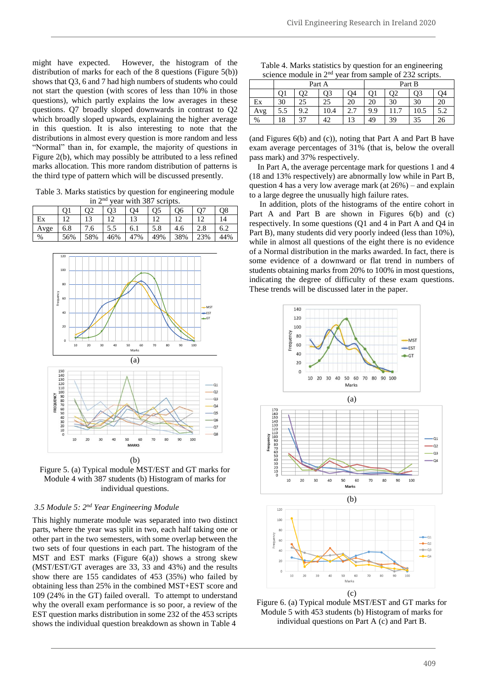might have expected. However, the histogram of the distribution of marks for each of the 8 questions (Figure 5(b)) shows that Q3, 6 and 7 had high numbers of students who could not start the question (with scores of less than 10% in those questions), which partly explains the low averages in these questions. Q7 broadly sloped downwards in contrast to Q2 which broadly sloped upwards, explaining the higher average in this question. It is also interesting to note that the distributions in almost every question is more random and less "Normal" than in, for example, the majority of questions in Figure 2(b), which may possibly be attributed to a less refined marks allocation. This more random distribution of patterns is the third type of pattern which will be discussed presently.

Table 3. Marks statistics by question for engineering module in 2nd year with 387 scripts.

|      |     | O <sub>2</sub> |     | O4  | O5  | O6  | $\Omega$ | O8  |
|------|-----|----------------|-----|-----|-----|-----|----------|-----|
| Ex   | 12  |                |     |     |     |     |          | 14  |
| Avge | 6.8 | 7.6            | 5.5 | 6.1 | 5.8 | 4.6 | 2.8      | 6.2 |
| %    | 56% | 58%            | 46% | 47% | 49% | 38% | 23%      | 44% |



Figure 5. (a) Typical module MST/EST and GT marks for Module 4 with 387 students (b) Histogram of marks for individual questions.

# *3.5 Module 5: 2nd Year Engineering Module*

This highly numerate module was separated into two distinct parts, where the year was split in two, each half taking one or other part in the two semesters, with some overlap between the two sets of four questions in each part. The histogram of the MST and EST marks (Figure  $6(a)$ ) shows a strong skew (MST/EST/GT averages are 33, 33 and 43%) and the results show there are 155 candidates of 453 (35%) who failed by obtaining less than 25% in the combined MST+EST score and 109 (24% in the GT) failed overall. To attempt to understand why the overall exam performance is so poor, a review of the EST question marks distribution in some 232 of the 453 scripts shows the individual question breakdown as shown in Table 4

| Table 4. Marks statistics by question for an engineering           |  |
|--------------------------------------------------------------------|--|
| science module in 2 <sup>nd</sup> year from sample of 232 scripts. |  |

|      | Part A |     |      |             | Part B |    |      |     |
|------|--------|-----|------|-------------|--------|----|------|-----|
|      |        | Э2  | O3   | Ο4          |        | O2 | O3   | Ο4  |
| Ex   | 30     | 25  | 25   | 20          | 20     | 30 | 30   | 20  |
| Avg  | 5.5    | 9.2 | 10.4 | C C<br>ر ـ  | 9.9    |    | 10.5 | 5.2 |
| $\%$ | 18     | 37  | 42   | $1^{\circ}$ | 49     | 39 | 35   | 26  |

(and Figures 6(b) and (c)), noting that Part A and Part B have exam average percentages of 31% (that is, below the overall pass mark) and 37% respectively.

 In Part A, the average percentage mark for questions 1 and 4 (18 and 13% respectively) are abnormally low while in Part B, question 4 has a very low average mark (at  $26\%$ ) – and explain to a large degree the unusually high failure rates.

 In addition, plots of the histograms of the entire cohort in Part A and Part B are shown in Figures 6(b) and (c) respectively. In some questions (Q1 and 4 in Part A and Q4 in Part B), many students did very poorly indeed (less than 10%), while in almost all questions of the eight there is no evidence of a Normal distribution in the marks awarded. In fact, there is some evidence of a downward or flat trend in numbers of students obtaining marks from 20% to 100% in most questions, indicating the degree of difficulty of these exam questions. These trends will be discussed later in the paper.



Figure 6. (a) Typical module MST/EST and GT marks for Module 5 with 453 students (b) Histogram of marks for individual questions on Part A (c) and Part B.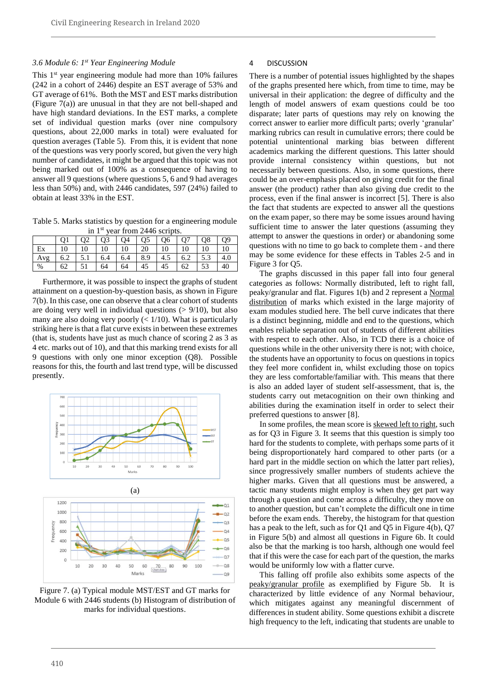## *3.6 Module 6: 1 st Year Engineering Module*

This 1<sup>st</sup> year engineering module had more than 10% failures (242 in a cohort of 2446) despite an EST average of 53% and GT average of 61%. Both the MST and EST marks distribution (Figure 7(a)) are unusual in that they are not bell-shaped and have high standard deviations. In the EST marks, a complete set of individual question marks (over nine compulsory questions, about 22,000 marks in total) were evaluated for question averages (Table 5). From this, it is evident that none of the questions was very poorly scored, but given the very high number of candidates, it might be argued that this topic was not being marked out of 100% as a consequence of having to answer all 9 questions (where questions 5, 6 and 9 had averages less than 50%) and, with 2446 candidates, 597 (24%) failed to obtain at least 33% in the EST.

Table 5. Marks statistics by question for a engineering module in 1<sup>st</sup> year from 2446 scripts.

|      |     | 02 | O <sub>3</sub> | O <sub>4</sub> | Q <sub>5</sub> | O6  | $\overline{O7}$ | O8  | O <sub>9</sub> |
|------|-----|----|----------------|----------------|----------------|-----|-----------------|-----|----------------|
| Ex   | 10  |    | 10             | 10             | 20             |     | 10              |     |                |
| Avg  | 6.2 |    | 6.4            | 6.4            | 8.9            | 4.5 | 6.2             | 5.3 | 4.0            |
| $\%$ | 62  |    | 64             | 64             |                | 45  | 62              | 53  | 40             |

 Furthermore, it was possible to inspect the graphs of student attainment on a question-by-question basis, as shown in Figure 7(b). In this case, one can observe that a clear cohort of students are doing very well in individual questions  $(> 9/10)$ , but also many are also doing very poorly  $(< 1/10)$ . What is particularly striking here is that a flat curve exists in between these extremes (that is, students have just as much chance of scoring 2 as 3 as 4 etc. marks out of 10), and that this marking trend exists for all 9 questions with only one minor exception (Q8). Possible reasons for this, the fourth and last trend type, will be discussed presently.



Figure 7. (a) Typical module MST/EST and GT marks for Module 6 with 2446 students (b) Histogram of distribution of marks for individual questions.

#### 4 DISCUSSION

There is a number of potential issues highlighted by the shapes of the graphs presented here which, from time to time, may be universal in their application: the degree of difficulty and the length of model answers of exam questions could be too disparate; later parts of questions may rely on knowing the correct answer to earlier more difficult parts; overly 'granular' marking rubrics can result in cumulative errors; there could be potential unintentional marking bias between different academics marking the different questions. This latter should provide internal consistency within questions, but not necessarily between questions. Also, in some questions, there could be an over-emphasis placed on giving credit for the final answer (the product) rather than also giving due credit to the process, even if the final answer is incorrect [5]. There is also the fact that students are expected to answer all the questions on the exam paper, so there may be some issues around having sufficient time to answer the later questions (assuming they attempt to answer the questions in order) or abandoning some questions with no time to go back to complete them - and there may be some evidence for these effects in Tables 2-5 and in Figure 3 for Q5.

 The graphs discussed in this paper fall into four general categories as follows: Normally distributed, left to right fall, peaky/granular and flat. Figures 1(b) and 2 represent a Normal distribution of marks which existed in the large majority of exam modules studied here. The bell curve indicates that there is a distinct beginning, middle and end to the questions, which enables reliable separation out of students of different abilities with respect to each other. Also, in TCD there is a choice of questions while in the other university there is not; with choice, the students have an opportunity to focus on questions in topics they feel more confident in, whilst excluding those on topics they are less comfortable/familiar with. This means that there is also an added layer of student self-assessment, that is, the students carry out metacognition on their own thinking and abilities during the examination itself in order to select their preferred questions to answer [8].

In some profiles, the mean score is skewed left to right, such as for Q3 in Figure 3. It seems that this question is simply too hard for the students to complete, with perhaps some parts of it being disproportionately hard compared to other parts (or a hard part in the middle section on which the latter part relies), since progressively smaller numbers of students achieve the higher marks. Given that all questions must be answered, a tactic many students might employ is when they get part way through a question and come across a difficulty, they move on to another question, but can't complete the difficult one in time before the exam ends. Thereby, the histogram for that question has a peak to the left, such as for Q1 and Q5 in Figure 4(b), Q7 in Figure 5(b) and almost all questions in Figure 6b. It could also be that the marking is too harsh, although one would feel that if this were the case for each part of the question, the marks would be uniformly low with a flatter curve.

 This falling off profile also exhibits some aspects of the peaky/granular profile as exemplified by Figure 5b. It is characterized by little evidence of any Normal behaviour, which mitigates against any meaningful discernment of differences in student ability. Some questions exhibit a discrete high frequency to the left, indicating that students are unable to